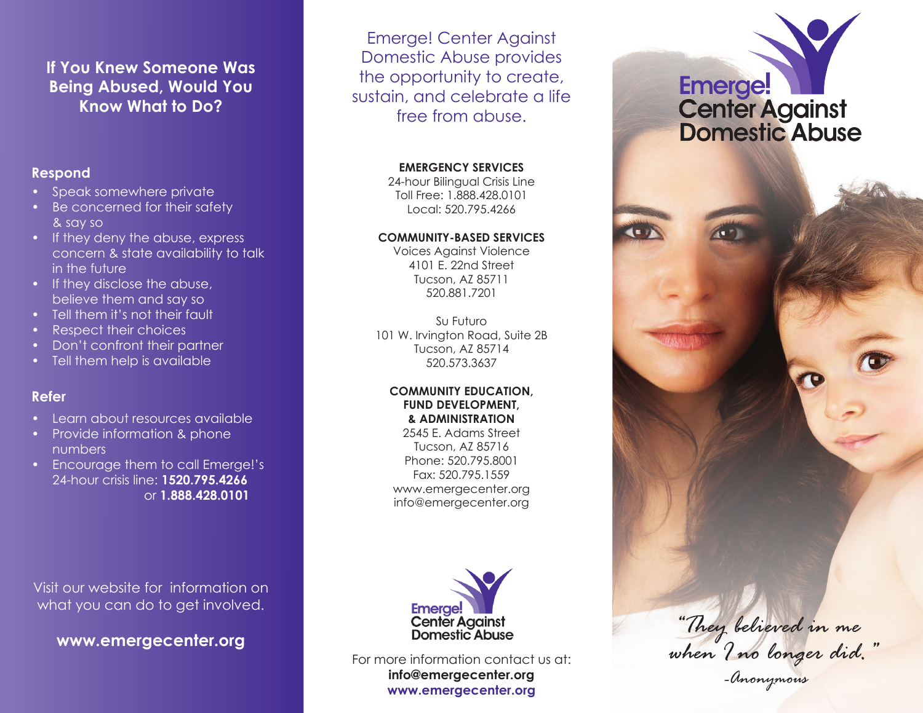### **If You Knew Someone Was Being Abused, Would You Know What to Do?**

#### **Respond**

- Speak somewhere private
- Be concerned for their safety & say so
- If they deny the abuse, express concern & state availability to talk in the future
- If they disclose the abuse, believe them and say so
- Tell them it's not their fault
- Respect their choices
- Don't confront their partner
- Tell them help is available

#### **Refer**

- • Learn about resources available
- Provide information & phone numbers
- Encourage them to call Emerge!'s 24-hour crisis line: **1520.795.4266** or **1.888.428.0101**

Emerge! Center Against Domestic Abuse provides the opportunity to create, sustain, and celebrate a life free from abuse.

#### **EMERGENCY SERVICES**

24-hour Bilingual Crisis Line Toll Free: 1.888.428.0101 Local: 520.795.4266

#### **COMMUNITY-BASED SERVICES**

Voices Against Violence 4101 E. 22nd Street Tucson, AZ 85711 520.881.7201

Su Futuro 101 W. Irvington Road, Suite 2B Tucson, AZ 85714 520.573.3637

#### **COMMUNITY EDUCATION, FUND DEVELOPMENT, & ADMINISTRATION**

2545 E. Adams Street Tucson, AZ 85716 Phone: 520.795.8001 Fax: 520.795.1559 www.emergecenter.org info@emergecenter.org



For more information contact us at: **info@emergecenter.org www.emergecenter.org** *-Anonymous*

# Emerge! Center Against<br>Domestic Abuse



Visit our website for information on what you can do to get involved.

**www.emergecenter.org**